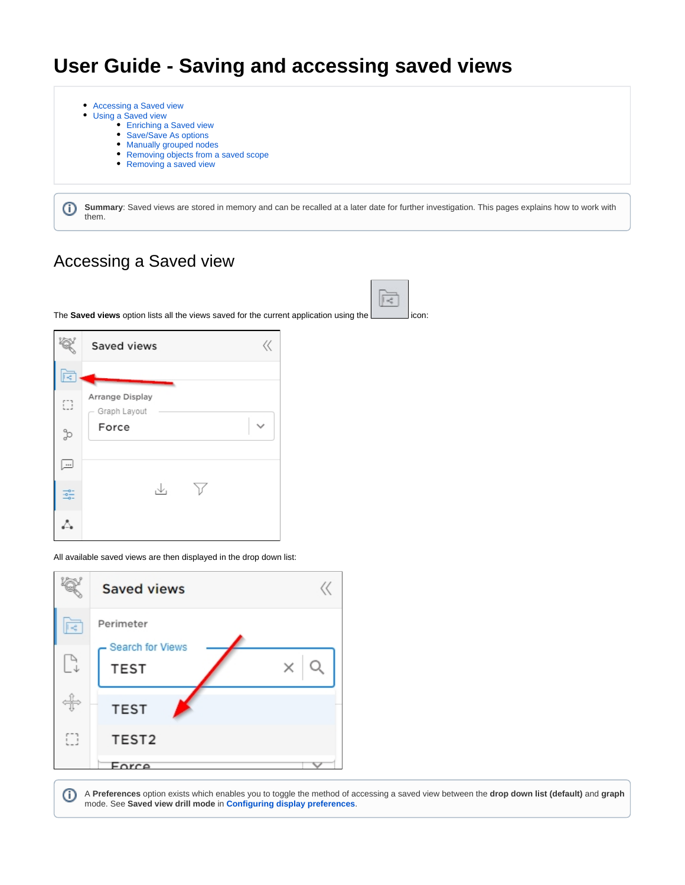# **User Guide - Saving and accessing saved views**

- [Accessing a Saved view](#page-0-0)  $\bullet$ 
	- [Using a Saved view](#page-0-1)

➀

- [Enriching a Saved view](#page-1-0)
- [Save/Save As options](#page-1-1)
- [Manually grouped nodes](#page-2-0)
- [Removing objects from a saved scope](#page-3-0)
- [Removing a saved view](#page-4-0)

**Summary**: Saved views are stored in memory and can be recalled at a later date for further investigation. This pages explains how to work with them.

## <span id="page-0-0"></span>Accessing a Saved view

The **Saved views** option lists all the views saved for the current application using the interest on:

|         | $\ll$<br>Saved views            |
|---------|---------------------------------|
| 辰       |                                 |
| Ο       | Arrange Display<br>Graph Layout |
| H       | Force                           |
| <u></u> |                                 |
|         | √.                              |
|         |                                 |

All available saved views are then displayed in the drop down list:



<span id="page-0-1"></span>➀ A **Preferences** option exists which enables you to toggle the method of accessing a saved view between the **drop down list (default)** and **graph** mode. See **Saved view drill mode** in **[Configuring display preferences](https://doc.castsoftware.com/display/IMAGING/Configuring+display+preferences)**.

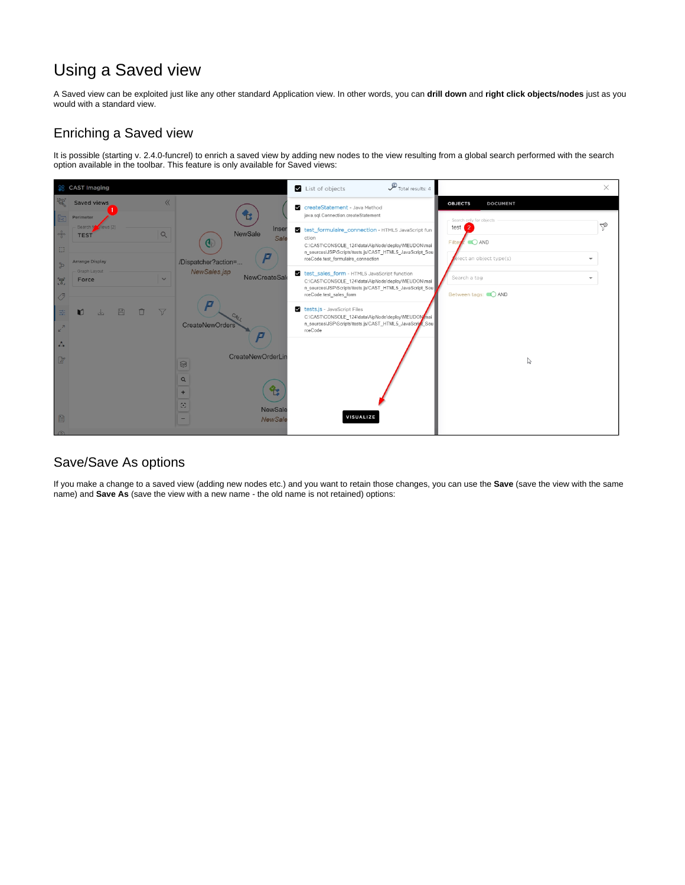### Using a Saved view

A Saved view can be exploited just like any other standard Application view. In other words, you can **drill down** and **right click objects/nodes** just as you would with a standard view.

#### <span id="page-1-0"></span>Enriching a Saved view

It is possible (starting v. 2.4.0-funcrel) to enrich a saved view by adding new nodes to the view resulting from a global search performed with the search option available in the toolbar. This feature is only available for Saved views:



#### <span id="page-1-1"></span>Save/Save As options

If you make a change to a saved view (adding new nodes etc.) and you want to retain those changes, you can use the **Save** (save the view with the same name) and **Save As** (save the view with a new name - the old name is not retained) options: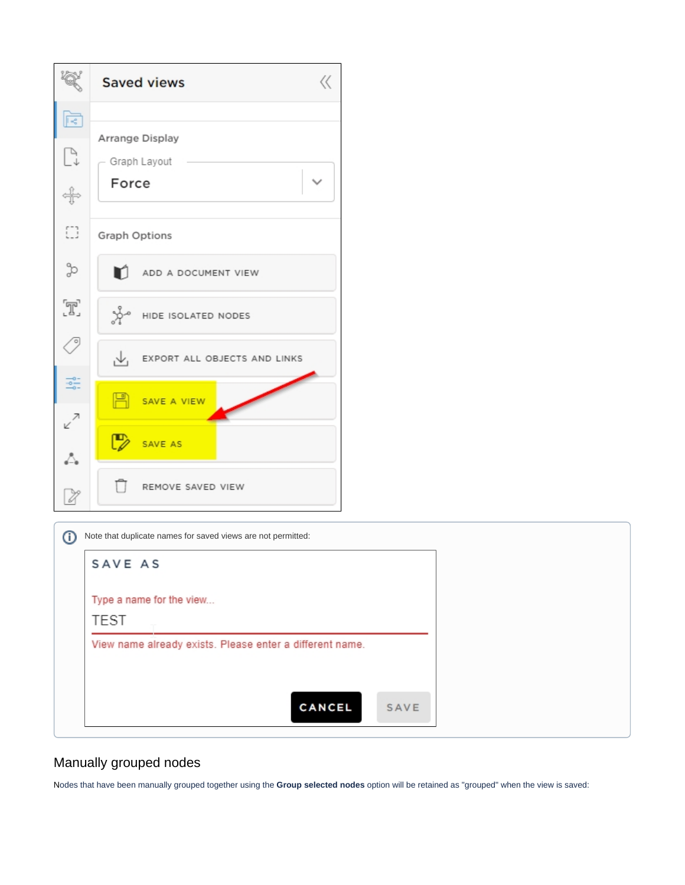|              | $\langle\langle$<br><b>Saved views</b> |
|--------------|----------------------------------------|
| ē            |                                        |
| $\mathbb{P}$ | Arrange Display<br>Graph Layout        |
| ╬            | Force                                  |
| O            | <b>Graph Options</b>                   |
| H            | n<br>ADD A DOCUMENT VIEW               |
| T,           | $\mathbb{R}^d$ HIDE ISOLATED NODES     |
|              | $\sqrt{}$ EXPORT ALL OBJECTS AND LINKS |
| 흛            | $\mathbb{R}$ SAVE A VIEW               |
| ↙<br>Δ.      | SAVE AS                                |
| V            | REMOVE SAVED VIEW                      |

| SAVE AS                                                  |      |  |
|----------------------------------------------------------|------|--|
| Type a name for the view                                 |      |  |
| <b>TEST</b>                                              |      |  |
| View name already exists. Please enter a different name. |      |  |
|                                                          |      |  |
| <b>CANCEL</b>                                            | SAVE |  |

#### <span id="page-2-0"></span>Manually grouped nodes

Nodes that have been manually grouped together using the **Group selected nodes** option will be retained as "grouped" when the view is saved: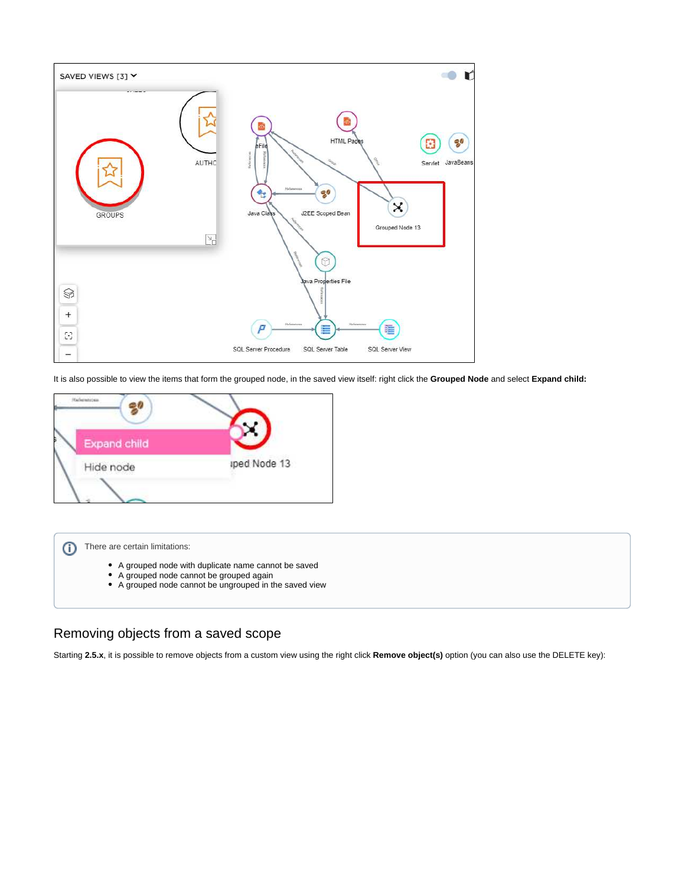

It is also possible to view the items that form the grouped node, in the saved view itself: right click the **Grouped Node** and select **Expand child:**





- A grouped node with duplicate name cannot be saved
- A grouped node cannot be grouped again
- A grouped node cannot be ungrouped in the saved view

#### <span id="page-3-0"></span>Removing objects from a saved scope

Starting **2.5.x**, it is possible to remove objects from a custom view using the right click **Remove object(s)** option (you can also use the DELETE key):